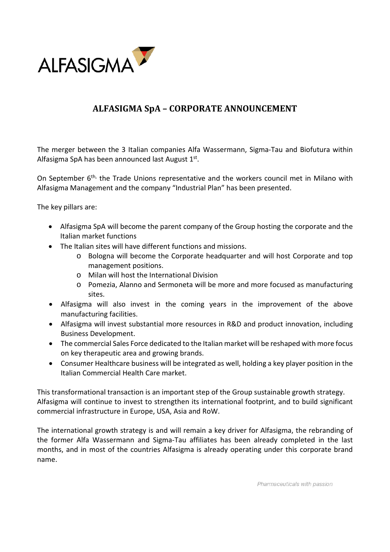

## **ALFASIGMA SpA – CORPORATE ANNOUNCEMENT**

The merger between the 3 Italian companies Alfa Wassermann, Sigma-Tau and Biofutura within Alfasigma SpA has been announced last August  $1<sup>st</sup>$ .

On September 6<sup>th,</sup> the Trade Unions representative and the workers council met in Milano with Alfasigma Management and the company "Industrial Plan" has been presented.

The key pillars are:

- Alfasigma SpA will become the parent company of the Group hosting the corporate and the Italian market functions
- The Italian sites will have different functions and missions.
	- o Bologna will become the Corporate headquarter and will host Corporate and top management positions.
	- o Milan will host the International Division
	- o Pomezia, Alanno and Sermoneta will be more and more focused as manufacturing sites.
- Alfasigma will also invest in the coming years in the improvement of the above manufacturing facilities.
- Alfasigma will invest substantial more resources in R&D and product innovation, including Business Development.
- The commercial Sales Force dedicated to the Italian market will be reshaped with more focus on key therapeutic area and growing brands.
- Consumer Healthcare business will be integrated as well, holding a key player position in the Italian Commercial Health Care market.

This transformational transaction is an important step of the Group sustainable growth strategy. Alfasigma will continue to invest to strengthen its international footprint, and to build significant commercial infrastructure in Europe, USA, Asia and RoW.

The international growth strategy is and will remain a key driver for Alfasigma, the rebranding of the former Alfa Wassermann and Sigma-Tau affiliates has been already completed in the last months, and in most of the countries Alfasigma is already operating under this corporate brand name.